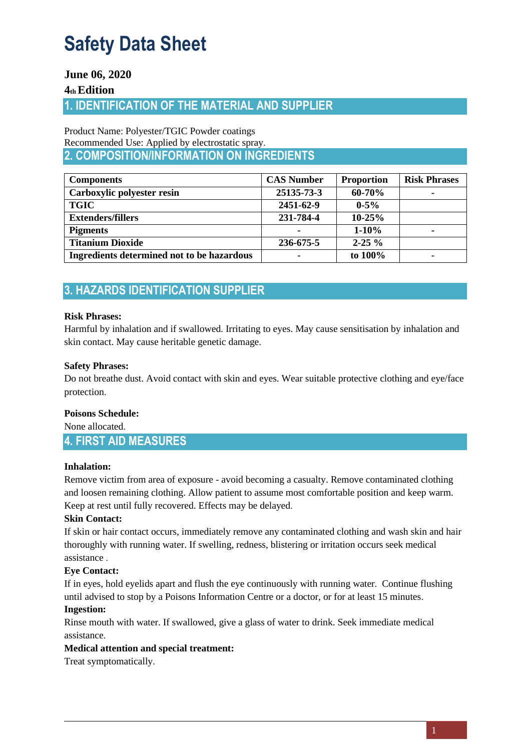## **June 06, 2020**

## **4th Edition**

# **1. IDENTIFICATION OF THE MATERIAL AND SUPPLIER**

Product Name: Polyester/TGIC Powder coatings Recommended Use: Applied by electrostatic spray . **2. COMPOSITION/INFORMATION ON INGREDIENTS**

| <b>Components</b>                          | <b>CAS Number</b> | <b>Proportion</b> | <b>Risk Phrases</b>      |
|--------------------------------------------|-------------------|-------------------|--------------------------|
| Carboxylic polyester resin                 | 25135-73-3        | 60-70%            | -                        |
| <b>TGIC</b>                                | 2451-62-9         | $0 - 5\%$         |                          |
| <b>Extenders/fillers</b>                   | 231-784-4         | $10 - 25%$        |                          |
| <b>Pigments</b>                            |                   | $1 - 10\%$        | $\overline{\phantom{0}}$ |
| <b>Titanium Dioxide</b>                    | 236-675-5         | $2 - 25 \%$       |                          |
| Ingredients determined not to be hazardous |                   | to 100%           |                          |

# **3. HAZARDS IDENTIFICATION SUPPLIER**

### **Risk Phrases:**

Harmful by inhalation and if swallowed. Irritating to eyes. May cause sensitisation by inhalation and skin contact. May cause heritable genetic damage .

## **Safety Phrases:**

Do not breathe dust. Avoid contact with skin and eyes. Wear suitable protective clothing and eye/face protection.

### **Poisons Schedule:**

None allocated.

## **4. FIRST AID MEASURES**

### Inhalation:

Remove victim from area of exposure - avoid becoming a casualty. Remove contaminated clothing and loosen remaining clothing. Allow patient to assume most comfortable position and keep warm. Keep at rest until fully recovered. Effects may be delayed.

### **Skin Contact:**

If skin or hair contact occurs, immediately remove any contaminated clothing and wash skin and hair thoroughly with running water. If swelling, redness, blistering or irritation occurs seek medical assistance .

## **Eye Contact:**

If in eyes, hold eyelids apart and flush the eye continuously with running water. Continue flushing until advised to stop by a Poisons Information Centre or a doctor, or for at least 15 minutes.

## **Ingestion:**

Rinse mouth with water. If swallowed, give a glass of water to drink. Seek immediate medical assistance .

### **Medical attention and special treatment :**

Treat symptomatically.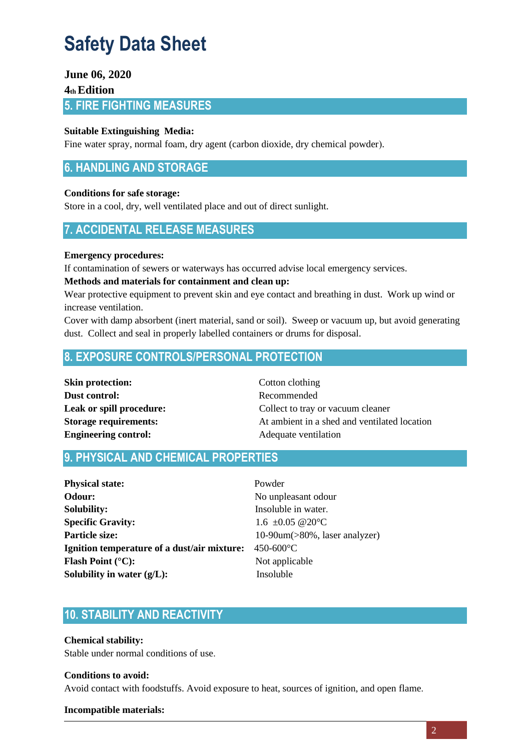## **June 06, 2020**

## **4th Edition**

**5. FIRE FIGHTING MEASURES**

### **Suitable Extinguishing Media :**

Fine water spray, normal foam, dry agent (carbon dioxide, dry chemical powder).

## **6. HANDLING AND STORAGE**

### **Conditions for safe storage :**

Store in a cool, dry, well ventilated place and out of direct sunlight.

## **7. ACCIDENTAL RELEASE MEASURES**

### **Emergency procedures:**

If contamination of sewers or waterways has occurred advise local emergency services.

#### **Methods and materials for containment and clean up:**

Wear protective equipment to prevent skin and eye contact and breathing in dust. Work up wind or increase ventilation.

Cover with damp absorbent (inert material, sand or soil). Sweep or vacuum up, but avoid generating dust. Collect and seal in properly labelled containers or drums for disposal.

## **8. EXPOSURE CONTROLS/PERSONAL PROTECTION**

| <b>Skin protection:</b>      |
|------------------------------|
| Dust control:                |
| Leak or spill procedure:     |
| <b>Storage requirements:</b> |
| <b>Engineering control:</b>  |

**Cotton clothing Dust control:** Recommended Collect to tray or vacuum cleaner At ambient in a shed and ventilated location Adequate ventilation

## **9. PHYSICAL AND CHEMICAL PROPERTIES**

| <b>Physical state:</b>                       | Powder                                |  |
|----------------------------------------------|---------------------------------------|--|
| Odour:                                       | No unpleasant odour                   |  |
| <b>Solubility:</b>                           | Insoluble in water.                   |  |
| <b>Specific Gravity:</b>                     | 1.6 $\pm 0.05$ @ 20 °C                |  |
| Particle size:                               | $10-90$ um( $>80\%$ , laser analyzer) |  |
| Ignition temperature of a dust/air mixture:  | 450-600 °C                            |  |
| <b>Flash Point (<math>^{\circ}</math>C):</b> | Not applicable                        |  |
| Solubility in water $(g/L)$ :                | Insoluble                             |  |

## **10. STABILITY AND REACTIVITY**

**Chemical stability:** 

Stable under normal conditions of use.

## **Conditions to avoid:**

Avoid contact with foodstuffs. Avoid exposure to heat, sources of ignition, and open flame .

#### **Incompatible materials:**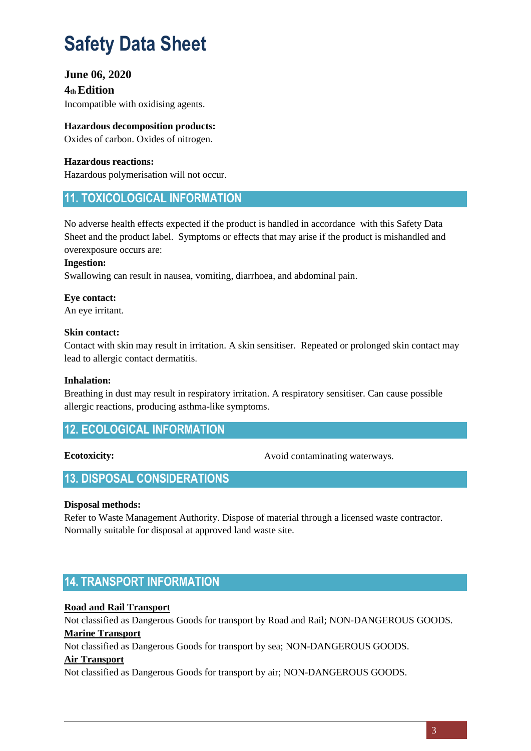## **June 06, 2020**

**4th Edition**  Incompatible with oxidising agents.

**Hazardous decomposition products :** Oxides of carbon. Oxides of nitrogen.

**Hazardous reactions:**  Hazardous polymerisation will not occur.

## **11. TOXICOLOGICAL INFORMATION**

No adverse health effects expected if the product is handled in accordance with this Safety Data Sheet and the product label. Symptoms or effects that may arise if the product is mishandled and overexposure occurs are :

### **Ingestion:**

Swallowing can result in nausea, vomiting, diarrhoea, and abdominal pain.

## **Eye contact:**

An eye irritant.

#### **Skin contact:**

Contact with skin may result in irritation. A skin sensitiser. Repeated or prolonged skin contact may lead to allergic contact dermatitis .

#### **Inhalation:**

Breathing in dust may result in respiratory irritation. A respiratory sensitiser. Can cause possible allergic reactions, producing asthma-like symptoms.

## **12. ECOLOGICAL INFORMATION**

### **Ecotoxicity:**

Avoid contaminating waterways.

## **13. DISPOSAL CONSIDERATIONS**

### **Disposal methods:**

Refer to Waste Management Authority. Dispose of material through a licensed waste contractor. Normally suitable for disposal at approved land waste site.

## **14. TRANSPORT INFORMATION**

### **Road and Rail Transport**

Not classified as Dangerous Goods for transport by Road and Rail; NON-DANGEROUS GOODS. **Marine Transport**

Not classified as Dangerous Goods for transport by sea; NON-DANGEROUS GOODS.

#### **Air Transport**

Not classified as Dangerous Goods for transport by air; NON-DANGEROUS GOODS.